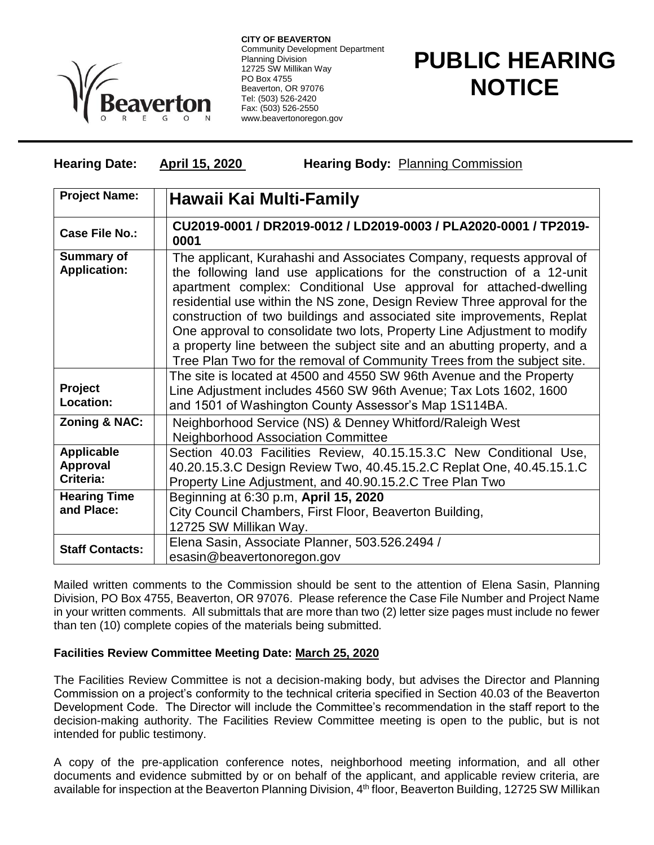

**CITY OF BEAVERTON** Community Development Department Planning Division 12725 SW Millikan Way PO Box 4755 Beaverton, OR 97076 Tel: (503) 526-2420 Fax: (503) 526-2550 www.beavertonoregon.gov

## **PUBLIC HEARING NOTICE**

## **Hearing Date: April 15, 2020 Hearing Body:** Planning Commission

| <b>Project Name:</b>                       | Hawaii Kai Multi-Family                                                                                                                                                                                                                                                                                                                                                                                                                                                                                                                                                                                      |
|--------------------------------------------|--------------------------------------------------------------------------------------------------------------------------------------------------------------------------------------------------------------------------------------------------------------------------------------------------------------------------------------------------------------------------------------------------------------------------------------------------------------------------------------------------------------------------------------------------------------------------------------------------------------|
| <b>Case File No.:</b>                      | CU2019-0001 / DR2019-0012 / LD2019-0003 / PLA2020-0001 / TP2019-<br>0001                                                                                                                                                                                                                                                                                                                                                                                                                                                                                                                                     |
| <b>Summary of</b><br><b>Application:</b>   | The applicant, Kurahashi and Associates Company, requests approval of<br>the following land use applications for the construction of a 12-unit<br>apartment complex: Conditional Use approval for attached-dwelling<br>residential use within the NS zone, Design Review Three approval for the<br>construction of two buildings and associated site improvements, Replat<br>One approval to consolidate two lots, Property Line Adjustment to modify<br>a property line between the subject site and an abutting property, and a<br>Tree Plan Two for the removal of Community Trees from the subject site. |
| Project<br>Location:                       | The site is located at 4500 and 4550 SW 96th Avenue and the Property<br>Line Adjustment includes 4560 SW 96th Avenue; Tax Lots 1602, 1600<br>and 1501 of Washington County Assessor's Map 1S114BA.                                                                                                                                                                                                                                                                                                                                                                                                           |
| Zoning & NAC:                              | Neighborhood Service (NS) & Denney Whitford/Raleigh West<br><b>Neighborhood Association Committee</b>                                                                                                                                                                                                                                                                                                                                                                                                                                                                                                        |
| <b>Applicable</b><br>Approval<br>Criteria: | Section 40.03 Facilities Review, 40.15.15.3.C New Conditional Use,<br>40.20.15.3.C Design Review Two, 40.45.15.2.C Replat One, 40.45.15.1.C<br>Property Line Adjustment, and 40.90.15.2.C Tree Plan Two                                                                                                                                                                                                                                                                                                                                                                                                      |
| <b>Hearing Time</b><br>and Place:          | Beginning at 6:30 p.m, April 15, 2020<br>City Council Chambers, First Floor, Beaverton Building,<br>12725 SW Millikan Way.                                                                                                                                                                                                                                                                                                                                                                                                                                                                                   |
| <b>Staff Contacts:</b>                     | Elena Sasin, Associate Planner, 503.526.2494 /<br>esasin@beavertonoregon.gov                                                                                                                                                                                                                                                                                                                                                                                                                                                                                                                                 |

Mailed written comments to the Commission should be sent to the attention of Elena Sasin, Planning Division, PO Box 4755, Beaverton, OR 97076. Please reference the Case File Number and Project Name in your written comments. All submittals that are more than two (2) letter size pages must include no fewer than ten (10) complete copies of the materials being submitted.

## **Facilities Review Committee Meeting Date: March 25, 2020**

The Facilities Review Committee is not a decision-making body, but advises the Director and Planning Commission on a project's conformity to the technical criteria specified in Section 40.03 of the Beaverton Development Code. The Director will include the Committee's recommendation in the staff report to the decision-making authority. The Facilities Review Committee meeting is open to the public, but is not intended for public testimony.

A copy of the pre-application conference notes, neighborhood meeting information, and all other documents and evidence submitted by or on behalf of the applicant, and applicable review criteria, are available for inspection at the Beaverton Planning Division, 4<sup>th</sup> floor, Beaverton Building, 12725 SW Millikan